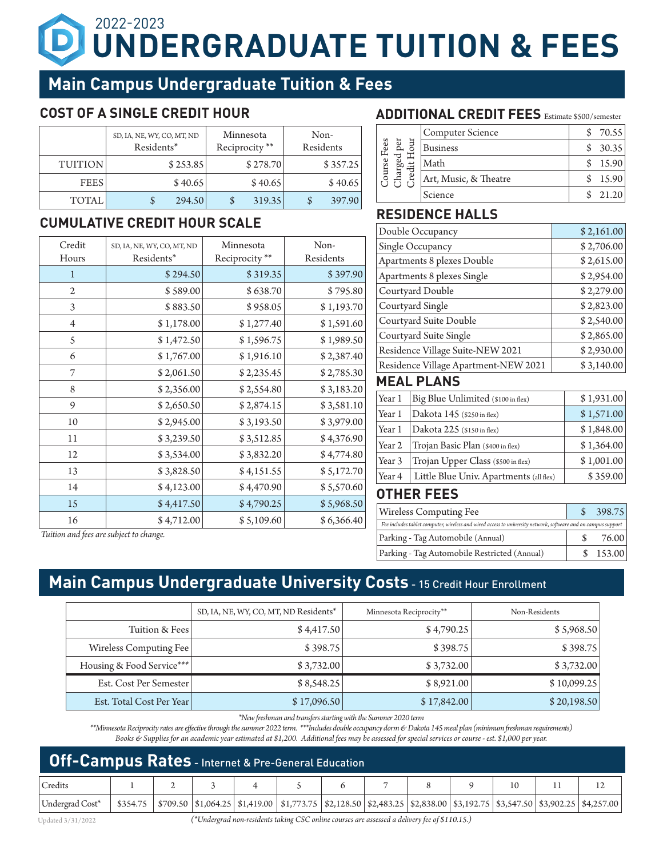# **UNDERGRADUATE TUITION & FEES** 2022-2023

## **Main Campus Undergraduate Tuition & Fees**

## **COST OF A SINGLE CREDIT HOUR**

|                | SD, IA, NE, WY, CO, MT, ND<br>Residents* | Minnesota<br>Reciprocity ** | Non-<br>Residents |
|----------------|------------------------------------------|-----------------------------|-------------------|
| <b>TUITION</b> | \$253.85                                 | \$278.70                    | \$357.25          |
| <b>FEES</b>    | \$40.65                                  | \$40.65                     | \$40.65           |
| <b>TOTAL</b>   | 294.50                                   | 319.35<br>S                 | 397.90            |

## **CUMULATIVE CREDIT HOUR SCALE RESIDENCE HALLS**

| Credit<br>Hours | SD, IA, NE, WY, CO, MT, ND<br>Residents* | Minnesota<br>Reciprocity** | Non-<br>Residents |
|-----------------|------------------------------------------|----------------------------|-------------------|
| 1               | \$294.50                                 | \$319.35                   | \$397.90          |
| $\overline{2}$  | \$589.00                                 | \$638.70                   | \$795.80          |
| 3               | \$883.50                                 | \$958.05                   | \$1,193.70        |
| $\overline{4}$  | \$1,178.00                               | \$1,277.40                 | \$1,591.60        |
| 5               | \$1,472.50                               | \$1,596.75                 | \$1,989.50        |
| 6               | \$1,767.00                               | \$1,916.10                 | \$2,387.40        |
| 7               | \$2,061.50                               | \$2,235.45                 | \$2,785.30        |
| 8               | \$2,356.00                               | \$2,554.80                 | \$3,183.20        |
| 9               | \$2,650.50                               | \$2,874.15                 | \$3,581.10        |
| 10              | \$2,945.00                               | \$3,193.50                 | \$3,979.00        |
| 11              | \$3,239.50                               | \$3,512.85                 | \$4,376.90        |
| 12              | \$3,534.00                               | \$3,832.20                 | \$4,774.80        |
| 13              | \$3,828.50                               | \$4,151.55                 | \$5,172.70        |
| 14              | \$4,123.00                               | \$4,470.90                 | \$5,570.60        |
| 15              | \$4,417.50                               | \$4,790.25                 | \$5,968.50        |
| 16              | \$4,712.00                               | \$5,109.60                 | \$6,366.40        |

### **ADDITIONAL CREDIT FEES** Estimate \$500/semester

| Fees<br>చె<br>ourse<br>Φ | Computer Science      | 70.55   |
|--------------------------|-----------------------|---------|
|                          | <b>Business</b>       | 30.35   |
|                          | Math                  | 15.90   |
|                          | Art, Music, & Theatre | 15.90   |
|                          | Science               | 2.1.2.0 |

| Double Occupancy                     | \$2,161.00 |
|--------------------------------------|------------|
| Single Occupancy                     | \$2,706.00 |
| Apartments 8 plexes Double           | \$2,615.00 |
| Apartments 8 plexes Single           | \$2,954.00 |
| Courtyard Double                     | \$2,279.00 |
| Courtyard Single                     | \$2,823.00 |
| Courtyard Suite Double               | \$2,540.00 |
| Courtyard Suite Single               | \$2,865.00 |
| Residence Village Suite-NEW 2021     | \$2,930.00 |
| Residence Village Apartment-NEW 2021 | \$3,140.00 |
|                                      |            |

### **MEAL PLANS**

| Year 1 | Big Blue Unlimited (\$100 in flex)      | \$1,931.00 |
|--------|-----------------------------------------|------------|
| Year 1 | Dakota 145 (\$250 in flex)              | \$1,571.00 |
| Year 1 | Dakota 225 (\$150 in flex)              | \$1,848.00 |
| Year 2 | Trojan Basic Plan (\$400 in flex)       | \$1,364.00 |
| Year 3 | Trojan Upper Class (\$500 in flex)      | \$1,001.00 |
| Year 4 | Little Blue Univ. Apartments (all flex) | \$359.00   |

### **OTHER FEES**

| <b>Wireless Computing Fee</b>                                                                                 | 398.75 |
|---------------------------------------------------------------------------------------------------------------|--------|
| Fee includes tablet computer, wireless and wired access to university network, software and on campus support |        |
| Parking - Tag Automobile (Annual)                                                                             | 76.00  |
| Parking - Tag Automobile Restricted (Annual)                                                                  | 153.00 |

*Tuition and fees are subject to change.*

## **Main Campus Undergraduate University Costs - 15 Credit Hour Enrollment**

|                           | SD, IA, NE, WY, CO, MT, ND Residents* | Minnesota Reciprocity** | Non-Residents |
|---------------------------|---------------------------------------|-------------------------|---------------|
| Tuition & Fees            | \$4,417.50                            | \$4,790.25              | \$5,968.50    |
| Wireless Computing Fee    | \$398.75                              | \$398.75                | \$398.75      |
| Housing & Food Service*** | \$3,732.00                            | \$3,732.00              | \$3,732.00    |
| Est. Cost Per Semester    | \$8,548.25                            | \$8,921.00              | \$10,099.25   |
| Est. Total Cost Per Year  | \$17,096.50                           | \$17,842.00             | \$20,198.50   |

*\*New freshman and transfers starting with the Summer 2020 term*

*\*\*Minnesota Reciprocity rates are effective through the summer 2022 term. \*\*\*Includes double occupancy dorm & Dakota 145 meal plan (minimum freshman requirements) Books & Supplies for an academic year estimated at \$1,200. Additional fees may be assessed for special services or course - est. \$1,000 per year.* 

| <b>Off-Campus Rates</b> - Internet & Pre-General Education |  |  |  |  |                                                                                                                                               |  |       |  |  |  |
|------------------------------------------------------------|--|--|--|--|-----------------------------------------------------------------------------------------------------------------------------------------------|--|-------|--|--|--|
| Credits                                                    |  |  |  |  |                                                                                                                                               |  | 6 7 8 |  |  |  |
| Undergrad Cost*                                            |  |  |  |  | \$354.75   \$709.50  \$1,064.25   \$1,419.00   \$1,773.75  \$2,128.50  \$2,483.25  \$2,838.00  \$3,192.75  \$3,547.50  \$3,902.25  \$4,257.00 |  |       |  |  |  |

Updated 3/31/2022 *(\*Undergrad non-residents taking CSC online courses are assessed a delivery fee of \$110.15.)*